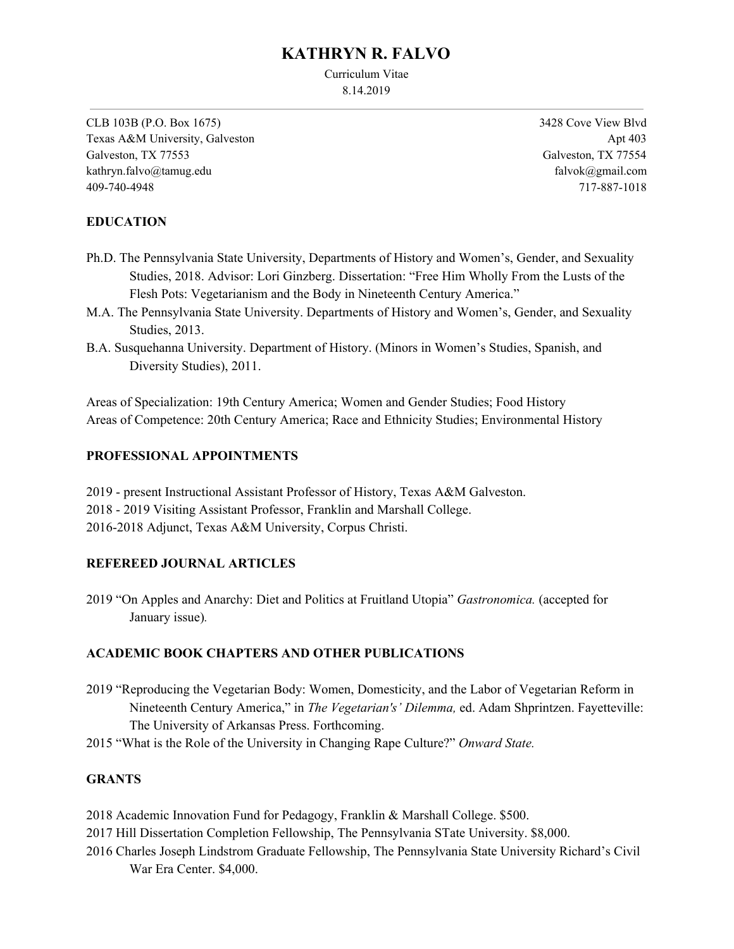# **KATHRYN R. FALVO**

Curriculum Vitae 8.14.2019

CLB 103B (P.O. Box 1675) Texas A&M University, Galveston Galveston, TX 77553 kathryn.falvo@tamug.edu 409-740-4948

3428 Cove View Blvd Apt 403 Galveston, TX 77554 [falvok@gmail.com](mailto:falvok@gmail.com) 717-887-1018

## **EDUCATION**

- Ph.D. The Pennsylvania State University, Departments of History and Women's, Gender, and Sexuality Studies, 2018. Advisor: Lori Ginzberg. Dissertation: "Free Him Wholly From the Lusts of the Flesh Pots: Vegetarianism and the Body in Nineteenth Century America."
- M.A. The Pennsylvania State University. Departments of History and Women's, Gender, and Sexuality Studies, 2013.
- B.A. Susquehanna University. Department of History. (Minors in Women's Studies, Spanish, and Diversity Studies), 2011.

Areas of Specialization: 19th Century America; Women and Gender Studies; Food History Areas of Competence: 20th Century America; Race and Ethnicity Studies; Environmental History

## **PROFESSIONAL APPOINTMENTS**

2019 - present Instructional Assistant Professor of History, Texas A&M Galveston. 2018 - 2019 Visiting Assistant Professor, Franklin and Marshall College. 2016-2018 Adjunct, Texas A&M University, Corpus Christi.

## **REFEREED JOURNAL ARTICLES**

2019 "On Apples and Anarchy: Diet and Politics at Fruitland Utopia" *Gastronomica.* (accepted for January issue)*.*

## **ACADEMIC BOOK CHAPTERS AND OTHER PUBLICATIONS**

- 2019 "Reproducing the Vegetarian Body: Women, Domesticity, and the Labor of Vegetarian Reform in Nineteenth Century America," in *The Vegetarian's' Dilemma,* ed. Adam Shprintzen. Fayetteville: The University of Arkansas Press. Forthcoming.
- 2015 "What is the Role of the University in Changing Rape Culture?" *Onward State.*

## **GRANTS**

- 2018 Academic Innovation Fund for Pedagogy, Franklin & Marshall College. \$500.
- 2017 Hill Dissertation Completion Fellowship, The Pennsylvania STate University. \$8,000.
- 2016 Charles Joseph Lindstrom Graduate Fellowship, The Pennsylvania State University Richard's Civil War Era Center. \$4,000.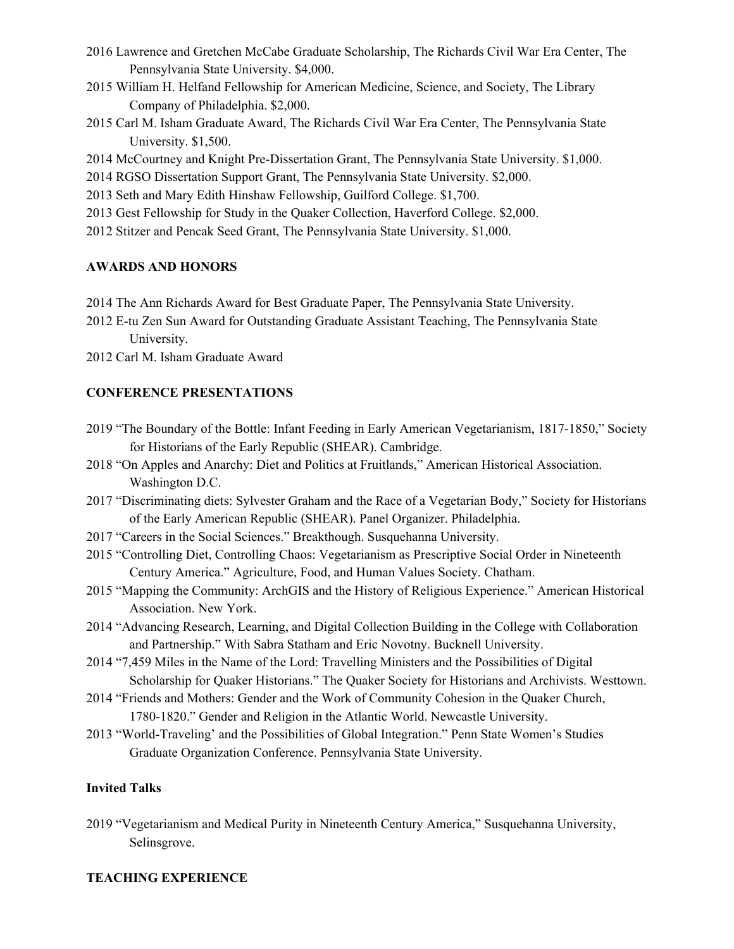- 2016 Lawrence and Gretchen McCabe Graduate Scholarship, The Richards Civil War Era Center, The Pennsylvania State University. \$4,000.
- 2015 William H. Helfand Fellowship for American Medicine, Science, and Society, The Library Company of Philadelphia. \$2,000.
- 2015 Carl M. Isham Graduate Award, The Richards Civil War Era Center, The Pennsylvania State University. \$1,500.
- 2014 McCourtney and Knight Pre-Dissertation Grant, The Pennsylvania State University. \$1,000.
- 2014 RGSO Dissertation Support Grant, The Pennsylvania State University. \$2,000.
- 2013 Seth and Mary Edith Hinshaw Fellowship, Guilford College. \$1,700.
- 2013 Gest Fellowship for Study in the Quaker Collection, Haverford College. \$2,000.
- 2012 Stitzer and Pencak Seed Grant, The Pennsylvania State University. \$1,000.

## **AWARDS AND HONORS**

- 2014 The Ann Richards Award for Best Graduate Paper, The Pennsylvania State University.
- 2012 E-tu Zen Sun Award for Outstanding Graduate Assistant Teaching, The Pennsylvania State University.
- 2012 Carl M. Isham Graduate Award

## **CONFERENCE PRESENTATIONS**

- 2019 "The Boundary of the Bottle: Infant Feeding in Early American Vegetarianism, 1817-1850," Society for Historians of the Early Republic (SHEAR). Cambridge.
- 2018 "On Apples and Anarchy: Diet and Politics at Fruitlands," American Historical Association. Washington D.C.
- 2017 "Discriminating diets: Sylvester Graham and the Race of a Vegetarian Body," Society for Historians of the Early American Republic (SHEAR). Panel Organizer. Philadelphia.
- 2017 "Careers in the Social Sciences." Breakthough. Susquehanna University.
- 2015 "Controlling Diet, Controlling Chaos: Vegetarianism as Prescriptive Social Order in Nineteenth Century America." Agriculture, Food, and Human Values Society. Chatham.
- 2015 "Mapping the Community: ArchGIS and the History of Religious Experience." American Historical Association. New York.
- 2014 "Advancing Research, Learning, and Digital Collection Building in the College with Collaboration and Partnership." With Sabra Statham and Eric Novotny. Bucknell University.
- 2014 "7,459 Miles in the Name of the Lord: Travelling Ministers and the Possibilities of Digital Scholarship for Quaker Historians." The Quaker Society for Historians and Archivists. Westtown.
- 2014 "Friends and Mothers: Gender and the Work of Community Cohesion in the Quaker Church, 1780-1820." Gender and Religion in the Atlantic World. Newcastle University.
- 2013 "World-Traveling' and the Possibilities of Global Integration." Penn State Women's Studies Graduate Organization Conference. Pennsylvania State University.

## **Invited Talks**

2019 "Vegetarianism and Medical Purity in Nineteenth Century America," Susquehanna University, Selinsgrove.

## **TEACHING EXPERIENCE**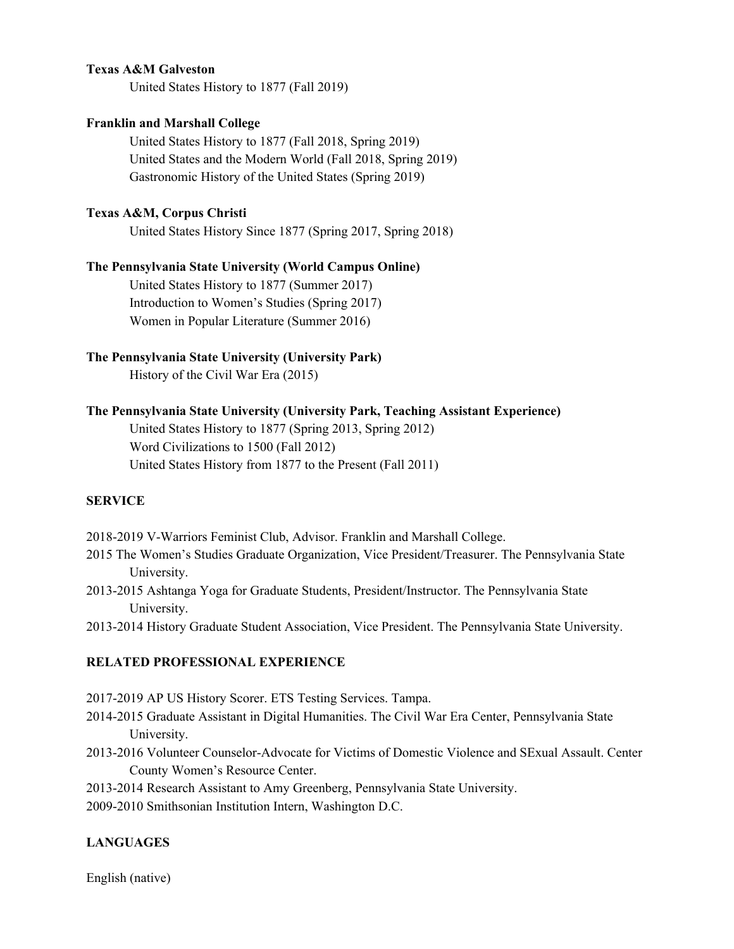#### **Texas A&M Galveston**

United States History to 1877 (Fall 2019)

#### **Franklin and Marshall College**

United States History to 1877 (Fall 2018, Spring 2019) United States and the Modern World (Fall 2018, Spring 2019) Gastronomic History of the United States (Spring 2019)

## **Texas A&M, Corpus Christi**

United States History Since 1877 (Spring 2017, Spring 2018)

#### **The Pennsylvania State University (World Campus Online)**

United States History to 1877 (Summer 2017) Introduction to Women's Studies (Spring 2017) Women in Popular Literature (Summer 2016)

#### **The Pennsylvania State University (University Park)**

History of the Civil War Era (2015)

#### **The Pennsylvania State University (University Park, Teaching Assistant Experience)**

United States History to 1877 (Spring 2013, Spring 2012) Word Civilizations to 1500 (Fall 2012) United States History from 1877 to the Present (Fall 2011)

## **SERVICE**

2018-2019 V-Warriors Feminist Club, Advisor. Franklin and Marshall College.

- 2015 The Women's Studies Graduate Organization, Vice President/Treasurer. The Pennsylvania State University.
- 2013-2015 Ashtanga Yoga for Graduate Students, President/Instructor. The Pennsylvania State University.
- 2013-2014 History Graduate Student Association, Vice President. The Pennsylvania State University.

## **RELATED PROFESSIONAL EXPERIENCE**

2017-2019 AP US History Scorer. ETS Testing Services. Tampa.

- 2014-2015 Graduate Assistant in Digital Humanities. The Civil War Era Center, Pennsylvania State University.
- 2013-2016 Volunteer Counselor-Advocate for Victims of Domestic Violence and SExual Assault. Center County Women's Resource Center.
- 2013-2014 Research Assistant to Amy Greenberg, Pennsylvania State University.
- 2009-2010 Smithsonian Institution Intern, Washington D.C.

#### **LANGUAGES**

English (native)